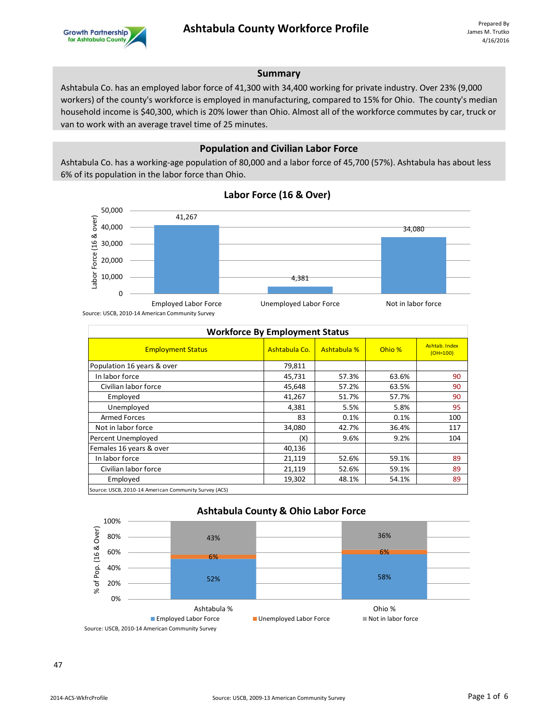## **Summary**

Ashtabula Co. has an employed labor force of 41,300 with 34,400 working for private industry. Over 23% (9,000 workers) of the county's workforce is employed in manufacturing, compared to 15% for Ohio. The county's median household income is \$40,300, which is 20% lower than Ohio. Almost all of the workforce commutes by car, truck or van to work with an average travel time of 25 minutes.

## **Population and Civilian Labor Force**

Ashtabula Co. has a working-age population of 80,000 and a labor force of 45,700 (57%). Ashtabula has about less 6% of its population in the labor force than Ohio.



## **Labor Force (16 & Over)**

Source: USCB, 2010-14 American Community Survey

| <b>Workforce By Employment Status</b>                 |               |             |        |                             |  |
|-------------------------------------------------------|---------------|-------------|--------|-----------------------------|--|
| <b>Employment Status</b>                              | Ashtabula Co. | Ashtabula % | Ohio % | Ashtab, Index<br>$(OH=100)$ |  |
| Population 16 years & over                            | 79,811        |             |        |                             |  |
| In labor force                                        | 45,731        | 57.3%       | 63.6%  | 90                          |  |
| Civilian labor force                                  | 45,648        | 57.2%       | 63.5%  | 90                          |  |
| Employed                                              | 41,267        | 51.7%       | 57.7%  | 90                          |  |
| Unemployed                                            | 4,381         | 5.5%        | 5.8%   | 95                          |  |
| <b>Armed Forces</b>                                   | 83            | 0.1%        | 0.1%   | 100                         |  |
| Not in labor force                                    | 34,080        | 42.7%       | 36.4%  | 117                         |  |
| Percent Unemployed                                    | (X)           | 9.6%        | 9.2%   | 104                         |  |
| Females 16 years & over                               | 40,136        |             |        |                             |  |
| In labor force                                        | 21,119        | 52.6%       | 59.1%  | 89                          |  |
| Civilian labor force                                  | 21,119        | 52.6%       | 59.1%  | 89                          |  |
| Employed                                              | 19,302        | 48.1%       | 54.1%  | 89                          |  |
| Source: USCB, 2010-14 American Community Survey (ACS) |               |             |        |                             |  |



## **Ashtabula County & Ohio Labor Force**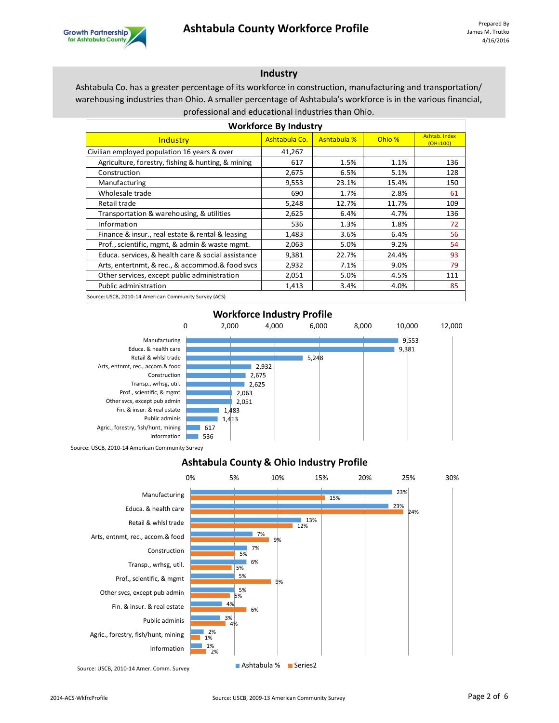

#### **Industry**

Ashtabula Co. has a greater percentage of its workforce in construction, manufacturing and transportation/ warehousing industries than Ohio. A smaller percentage of Ashtabula's workforce is in the various financial, professional and educational industries than Ohio.

| <b>Workforce By Industry</b>                          |               |                    |        |                             |  |
|-------------------------------------------------------|---------------|--------------------|--------|-----------------------------|--|
| Industry                                              | Ashtabula Co. | <b>Ashtabula %</b> | Ohio % | Ashtab, Index<br>$(OH=100)$ |  |
| Civilian employed population 16 years & over          | 41,267        |                    |        |                             |  |
| Agriculture, forestry, fishing & hunting, & mining    | 617           | 1.5%               | 1.1%   | 136                         |  |
| Construction                                          | 2,675         | 6.5%               | 5.1%   | 128                         |  |
| Manufacturing                                         | 9,553         | 23.1%              | 15.4%  | 150                         |  |
| Wholesale trade                                       | 690           | 1.7%               | 2.8%   | 61                          |  |
| Retail trade                                          | 5,248         | 12.7%              | 11.7%  | 109                         |  |
| Transportation & warehousing, & utilities             | 2,625         | 6.4%               | 4.7%   | 136                         |  |
| Information                                           | 536           | 1.3%               | 1.8%   | 72                          |  |
| Finance & insur., real estate & rental & leasing      | 1,483         | 3.6%               | 6.4%   | 56                          |  |
| Prof., scientific, mgmt, & admin & waste mgmt.        | 2,063         | 5.0%               | 9.2%   | 54                          |  |
| Educa. services, & health care & social assistance    | 9,381         | 22.7%              | 24.4%  | 93                          |  |
| Arts, entertnmt, & rec., & accommod.& food svcs       | 2,932         | 7.1%               | 9.0%   | 79                          |  |
| Other services, except public administration          | 2,051         | 5.0%               | 4.5%   | 111                         |  |
| Public administration                                 | 1,413         | 3.4%               | 4.0%   | 85                          |  |
| Source: USCB, 2010-14 American Community Survey (ACS) |               |                    |        |                             |  |

#### **Workforce Industry Profile**



**Ashtabula County & Ohio Industry Profile**



Source: USCB, 2010-14 Amer. Comm. Survey **Ashtabula % Exeries2**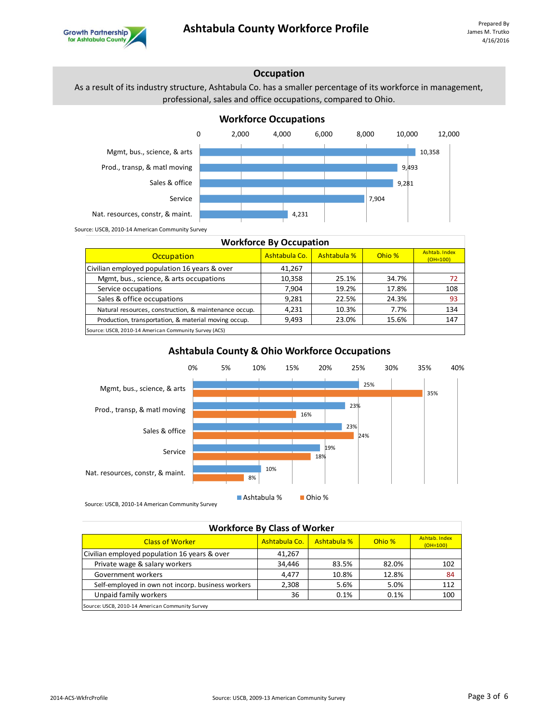

## **Occupation**

As a result of its industry structure, Ashtabula Co. has a smaller percentage of its workforce in management, professional, sales and office occupations, compared to Ohio.



| <b>Workforce By Occupation</b>                        |               |             |        |                             |  |
|-------------------------------------------------------|---------------|-------------|--------|-----------------------------|--|
| Occupation                                            | Ashtabula Co. | Ashtabula % | Ohio % | Ashtab, Index<br>$(OH=100)$ |  |
| Civilian employed population 16 years & over          | 41,267        |             |        |                             |  |
| Mgmt, bus., science, & arts occupations               | 10,358        | 25.1%       | 34.7%  | 72                          |  |
| Service occupations                                   | 7.904         | 19.2%       | 17.8%  | 108                         |  |
| Sales & office occupations                            | 9.281         | 22.5%       | 24.3%  | 93                          |  |
| Natural resources, construction, & maintenance occup. | 4,231         | 10.3%       | 7.7%   | 134                         |  |
| Production, transportation, & material moving occup.  | 9,493         | 23.0%       | 15.6%  | 147                         |  |
| Source: USCB, 2010-14 American Community Survey (ACS) |               |             |        |                             |  |

#### 25% 23% 23% 19% 10% 35% 16% 24% 18% 8% 0% 5% 10% 15% 20% 25% 30% 35% 40% Mgmt, bus., science, & arts Prod., transp, & matl moving Sales & office Service Nat. resources, constr, & maint.

**Ashtabula County & Ohio Workforce Occupations**

Source: USCB, 2010-14 American Community Survey

Ashtabula % Ohio %

| <b>Workforce By Class of Worker</b>               |               |             |        |                             |  |
|---------------------------------------------------|---------------|-------------|--------|-----------------------------|--|
| <b>Class of Worker</b>                            | Ashtabula Co. | Ashtabula % | Ohio % | Ashtab, Index<br>$(OH=100)$ |  |
| Civilian employed population 16 years & over      | 41,267        |             |        |                             |  |
| Private wage & salary workers                     | 34.446        | 83.5%       | 82.0%  | 102                         |  |
| Government workers                                | 4.477         | 10.8%       | 12.8%  | 84                          |  |
| Self-employed in own not incorp. business workers | 2,308         | 5.6%        | 5.0%   | 112                         |  |
| Unpaid family workers                             | 36            | 0.1%        | 0.1%   | 100                         |  |
| Source: USCB, 2010-14 American Community Survey   |               |             |        |                             |  |

# **Workforce Occupations**

**Growth Partnership**<br>for Ashtabula County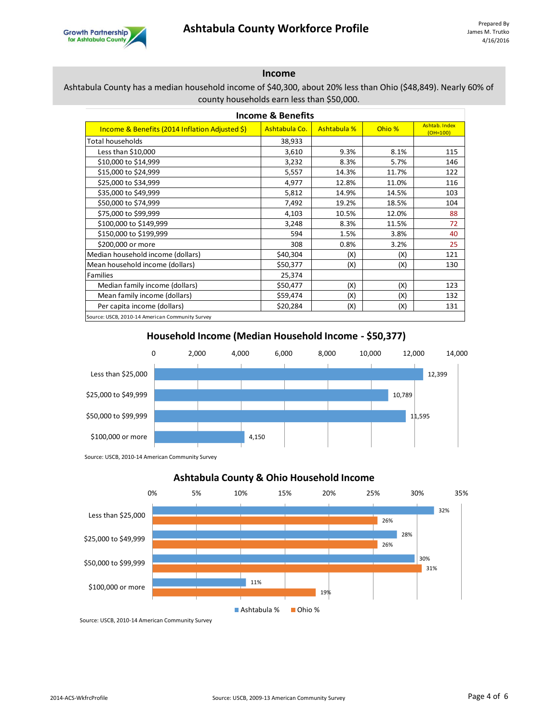

# **Income**

### Ashtabula County has a median household income of \$40,300, about 20% less than Ohio (\$48,849). Nearly 60% of county households earn less than \$50,000.

| <b>Income &amp; Benefits</b>                    |               |             |        |                             |  |  |
|-------------------------------------------------|---------------|-------------|--------|-----------------------------|--|--|
| Income & Benefits (2014 Inflation Adjusted \$)  | Ashtabula Co. | Ashtabula % | Ohio % | Ashtab, Index<br>$(OH=100)$ |  |  |
| <b>Total households</b>                         | 38,933        |             |        |                             |  |  |
| Less than \$10,000                              | 3,610         | 9.3%        | 8.1%   | 115                         |  |  |
| \$10,000 to \$14,999                            | 3,232         | 8.3%        | 5.7%   | 146                         |  |  |
| \$15,000 to \$24,999                            | 5,557         | 14.3%       | 11.7%  | 122                         |  |  |
| \$25,000 to \$34,999                            | 4,977         | 12.8%       | 11.0%  | 116                         |  |  |
| \$35,000 to \$49,999                            | 5,812         | 14.9%       | 14.5%  | 103                         |  |  |
| \$50,000 to \$74,999                            | 7,492         | 19.2%       | 18.5%  | 104                         |  |  |
| \$75,000 to \$99,999                            | 4,103         | 10.5%       | 12.0%  | 88                          |  |  |
| \$100,000 to \$149,999                          | 3,248         | 8.3%        | 11.5%  | 72                          |  |  |
| \$150,000 to \$199,999                          | 594           | 1.5%        | 3.8%   | 40                          |  |  |
| \$200,000 or more                               | 308           | 0.8%        | 3.2%   | 25                          |  |  |
| Median household income (dollars)               | \$40,304      | (X)         | (X)    | 121                         |  |  |
| Mean household income (dollars)                 | \$50,377      | (X)         | (X)    | 130                         |  |  |
| Families                                        | 25,374        |             |        |                             |  |  |
| Median family income (dollars)                  | \$50,477      | (X)         | (X)    | 123                         |  |  |
| Mean family income (dollars)                    | \$59,474      | (X)         | (X)    | 132                         |  |  |
| Per capita income (dollars)                     | \$20,284      | (X)         | (X)    | 131                         |  |  |
| Source: USCB, 2010-14 American Community Survey |               |             |        |                             |  |  |

12,399 10,789 11,595 4,150 0 2,000 4,000 6,000 8,000 10,000 12,000 14,000 Less than \$25,000 \$25,000 to \$49,999 \$50,000 to \$99,999 \$100,000 or more

# **Household Income (Median Household Income - \$50,377)**

Source: USCB, 2010-14 American Community Survey



Source: USCB, 2010-14 American Community Survey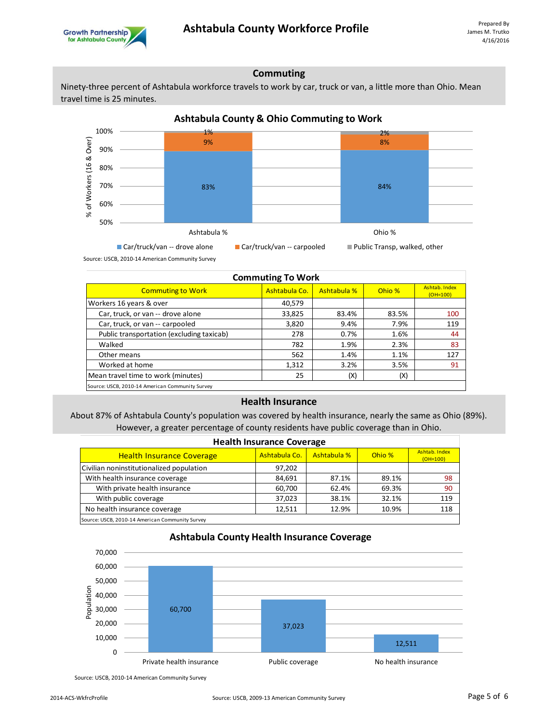

### **Commuting**

Ninety-three percent of Ashtabula workforce travels to work by car, truck or van, a little more than Ohio. Mean travel time is 25 minutes.



Source: USCB, 2010-14 American Community Survey

| <b>Commuting To Work</b>                        |               |             |        |                             |  |
|-------------------------------------------------|---------------|-------------|--------|-----------------------------|--|
| <b>Commuting to Work</b>                        | Ashtabula Co. | Ashtabula % | Ohio % | Ashtab, Index<br>$(OH=100)$ |  |
| Workers 16 years & over                         | 40,579        |             |        |                             |  |
| Car, truck, or van -- drove alone               | 33,825        | 83.4%       | 83.5%  | 100                         |  |
| Car, truck, or van -- carpooled                 | 3,820         | 9.4%        | 7.9%   | 119                         |  |
| Public transportation (excluding taxicab)       | 278           | 0.7%        | 1.6%   | 44                          |  |
| Walked                                          | 782           | 1.9%        | 2.3%   | 83                          |  |
| Other means                                     | 562           | 1.4%        | 1.1%   | 127                         |  |
| Worked at home                                  | 1,312         | 3.2%        | 3.5%   | 91                          |  |
| Mean travel time to work (minutes)              | 25            | (X)         | (X)    |                             |  |
| Source: USCB, 2010-14 American Community Survey |               |             |        |                             |  |

#### **Health Insurance**

About 87% of Ashtabula County's population was covered by health insurance, nearly the same as Ohio (89%). However, a greater percentage of county residents have public coverage than in Ohio.

| <b>Health Insurance Coverage</b>                |               |             |        |                             |  |
|-------------------------------------------------|---------------|-------------|--------|-----------------------------|--|
| <b>Health Insurance Coverage</b>                | Ashtabula Co. | Ashtabula % | Ohio % | Ashtab, Index<br>$(OH=100)$ |  |
| Civilian noninstitutionalized population        | 97,202        |             |        |                             |  |
| With health insurance coverage                  | 84,691        | 87.1%       | 89.1%  | 98                          |  |
| With private health insurance                   | 60,700        | 62.4%       | 69.3%  | 90                          |  |
| With public coverage                            | 37.023        | 38.1%       | 32.1%  | 119                         |  |
| No health insurance coverage                    | 12,511        | 12.9%       | 10.9%  | 118                         |  |
| Source: USCB, 2010-14 American Community Survey |               |             |        |                             |  |



#### **Ashtabula County Health Insurance Coverage**

Source: USCB, 2010-14 American Community Survey